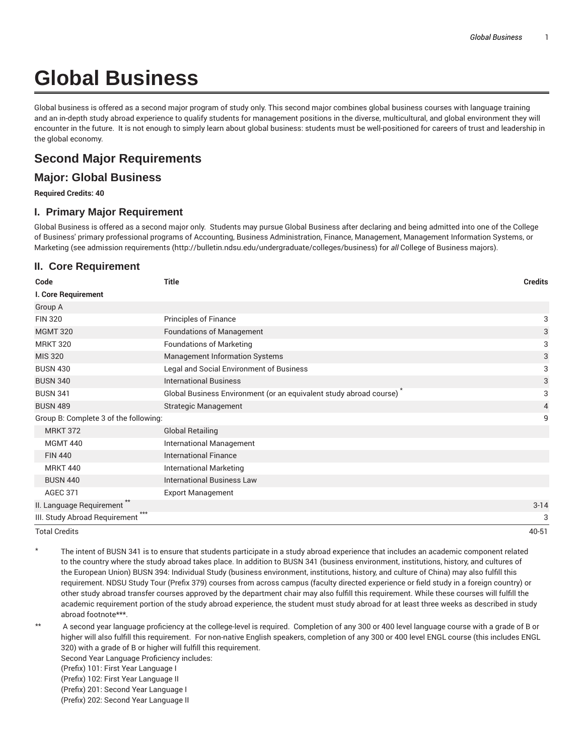# **Global Business**

Global business is offered as a second major program of study only. This second major combines global business courses with language training and an in-depth study abroad experience to qualify students for management positions in the diverse, multicultural, and global environment they will encounter in the future. It is not enough to simply learn about global business: students must be well-positioned for careers of trust and leadership in the global economy.

## **Second Major Requirements**

## **Major: Global Business**

**Required Credits: 40**

#### **I. Primary Major Requirement**

Global Business is offered as a second major only. Students may pursue Global Business after declaring and being admitted into one of the College of Business' primary professional programs of Accounting, Business Administration, Finance, Management, Management Information Systems, or Marketing (see admission requirements (http://bulletin.ndsu.edu/undergraduate/colleges/business) for *all* College of Business majors).

### **II. Core Requirement**

| Code                                   | <b>Title</b>                                                                    | <b>Credits</b> |
|----------------------------------------|---------------------------------------------------------------------------------|----------------|
| I. Core Requirement                    |                                                                                 |                |
| Group A                                |                                                                                 |                |
| <b>FIN 320</b>                         | <b>Principles of Finance</b>                                                    | 3              |
| <b>MGMT 320</b>                        | <b>Foundations of Management</b>                                                | 3              |
| <b>MRKT 320</b>                        | <b>Foundations of Marketing</b>                                                 | 3              |
| <b>MIS 320</b>                         | <b>Management Information Systems</b>                                           | 3              |
| <b>BUSN 430</b>                        | Legal and Social Environment of Business                                        | 3              |
| <b>BUSN 340</b>                        | <b>International Business</b>                                                   | 3              |
| <b>BUSN 341</b>                        | Global Business Environment (or an equivalent study abroad course) <sup>*</sup> | 3              |
| <b>BUSN 489</b>                        | <b>Strategic Management</b>                                                     | $\overline{4}$ |
| Group B: Complete 3 of the following:  |                                                                                 | 9              |
| <b>MRKT 372</b>                        | <b>Global Retailing</b>                                                         |                |
| <b>MGMT 440</b>                        | <b>International Management</b>                                                 |                |
| <b>FIN 440</b>                         | <b>International Finance</b>                                                    |                |
| <b>MRKT 440</b>                        | <b>International Marketing</b>                                                  |                |
| <b>BUSN 440</b>                        | <b>International Business Law</b>                                               |                |
| <b>AGEC 371</b>                        | <b>Export Management</b>                                                        |                |
| II. Language Requirement <sup>*</sup>  |                                                                                 | $3 - 14$       |
| $***$<br>III. Study Abroad Requirement |                                                                                 | 3              |
| <b>Total Credits</b>                   |                                                                                 | 40-51          |

The intent of BUSN 341 is to ensure that students participate in a study abroad experience that includes an academic component related to the country where the study abroad takes place. In addition to BUSN 341 (business environment, institutions, history, and cultures of the European Union) BUSN 394: Individual Study (business environment, institutions, history, and culture of China) may also fulfill this requirement. NDSU Study Tour (Prefix 379) courses from across campus (faculty directed experience or field study in a foreign country) or other study abroad transfer courses approved by the department chair may also fulfill this requirement. While these courses will fulfill the academic requirement portion of the study abroad experience, the student must study abroad for at least three weeks as described in study abroad footnote\*\*\*.

- \*\* A second year language proficiency at the college-level is required. Completion of any 300 or 400 level language course with a grade of B or higher will also fulfill this requirement. For non-native English speakers, completion of any 300 or 400 level ENGL course (this includes ENGL 320) with a grade of B or higher will fulfill this requirement.
	- Second Year Language Proficiency includes:
	- (Prefix) 101: First Year Language I
	- (Prefix) 102: First Year Language II
	- (Prefix) 201: Second Year Language I
	- (Prefix) 202: Second Year Language II